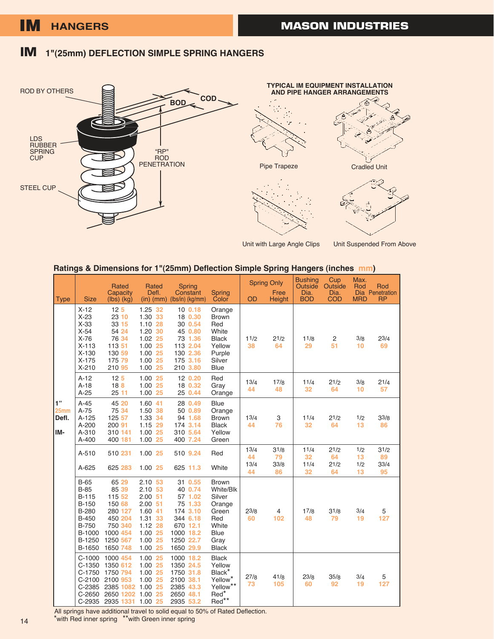## **IM 1"(25mm) DEFLECTION SIMPLE SPRING HANGERS**









Unit with Large Angle Clips

Unit Suspended From Above

#### **Ratings & Dimensions for 1"(25mm) Deflection Simple Spring Hangers (inches mm)**

| <b>Type</b>                 | <b>Size</b>                                                                                                             | Rated<br>Capacity<br>$(lbs)$ $(kg)$                                                                       | Rated<br>Defl.<br>$(in)$ (mm)                                                                                        | Spring<br>Constant<br>$(lbs/in)$ (kg/mm)                                                                            | Spring<br>Color                                                                                               | <b>Spring Only</b><br>Free<br>OD<br>Height |                          | <b>Bushing</b><br>Outside<br>Dia.<br><b>BOD</b> | Cup<br>Outside<br>Dia.<br><b>COD</b> | Max.<br>Rod<br><b>MRD</b> | Rod<br>Dia Penetration<br><b>RP</b> |
|-----------------------------|-------------------------------------------------------------------------------------------------------------------------|-----------------------------------------------------------------------------------------------------------|----------------------------------------------------------------------------------------------------------------------|---------------------------------------------------------------------------------------------------------------------|---------------------------------------------------------------------------------------------------------------|--------------------------------------------|--------------------------|-------------------------------------------------|--------------------------------------|---------------------------|-------------------------------------|
|                             | $X-12$<br>$X-23$<br>$X-33$<br>$X-54$<br>$X-76$<br>$X - 113$<br>$X-130$<br>$X-175$<br>$X-210$                            | 12 <sub>5</sub><br>23 10<br>33 15<br>54 24<br>76 34<br>113 51<br>130 59<br>175 79<br>210 95               | 1.25 32<br>1.30 33<br>$1.10$ 28<br>1.20 30<br>1.02 25<br>1.00 25<br>1.00 25<br>1.00 25<br>1.00 25                    | 100.18<br>18 0.30<br>30 0.54<br>45 0.80<br>73 1.36<br>113 2.04<br>130 2.36<br>175 3.16<br>210 3.80                  | Orange<br><b>Brown</b><br>Red<br>White<br><b>Black</b><br>Yellow<br>Purple<br>Silver<br><b>Blue</b>           | 11/2<br>38                                 | 21/2<br>64               | 11/8<br>29                                      | $\overline{2}$<br>51                 | 3/8<br>10                 | 23/4<br>69                          |
|                             | $A-12$<br>$A-18$<br>$A-25$                                                                                              | 12 <sub>5</sub><br>18B<br>2511                                                                            | 1.00 25<br>1.00 25<br>1.00 25                                                                                        | 12 0.20<br>18 0.32<br>25 0.44                                                                                       | Red<br>Gray<br>Orange                                                                                         | 13/4<br>44                                 | 17/8<br>48               | 11/4<br>32                                      | 21/2<br>64                           | 3/8<br>10                 | 21/4<br>57                          |
| 1"<br>25mm<br>Defl.<br>lım- | $A-45$<br>$A-75$<br>$A-125$<br>$A - 200$<br>A-310<br>A-400                                                              | 45 20<br>75 34<br>125 57<br>200 91<br>310 141<br>400 181                                                  | 1.60 41<br>1.50 38<br>1.33 34<br>1.15 29<br>1.00 25<br>1.00 25                                                       | 28 0.49<br>50 0.89<br>94 1.68<br>174 3.14<br>310 5.64<br>400 7.24                                                   | Blue<br>Orange<br><b>Brown</b><br><b>Black</b><br>Yellow<br>Green                                             | 13/4<br>44                                 | 3<br>76                  | 11/4<br>32                                      | 21/2<br>64                           | 1/2<br>13                 | 33/8<br>86                          |
|                             | A-510<br>$A - 625$                                                                                                      | 510 231<br>625 283                                                                                        | 1.00 25<br>1.00 25                                                                                                   | 510 9.24<br>625 11.3                                                                                                | Red<br>White                                                                                                  | 13/4<br>44<br>13/4<br>44                   | 31/8<br>79<br>33/8<br>86 | 11/4<br>32<br>11/4<br>32                        | 21/2<br>64<br>21/2<br>64             | 1/2<br>13<br>1/2<br>13    | 31/2<br>89<br>33/4<br>95            |
|                             | <b>B-65</b><br>$B-85$<br>$B-115$<br><b>B-150</b><br>B-280<br><b>B-450</b><br><b>B-750</b><br>B-1000<br>B-1250<br>B-1650 | 65 29<br>85 39<br>115 52<br>150 68<br>280 127<br>450 204<br>750 340<br>1000 454<br>1250 567<br>1650 748   | $2.10$ 53<br>$2.10$ 53<br>$2.00$ 51<br>$2.00$ 51<br>1.60 41<br>1.31 33<br>$1.12$ 28<br>1.00 25<br>1.00 25<br>1.00 25 | 31 0.55<br>40 0.74<br>57 1.02<br>75 1.33<br>174 3.10<br>344 6.18<br>670 12.1<br>1000 18.2<br>1250 22.7<br>1650 29.9 | <b>Brown</b><br>White/Blk<br>Silver<br>Orange<br>Green<br>Red<br>White<br><b>Blue</b><br>Gray<br><b>Black</b> | 23/8<br>60                                 | 4<br>102                 | 17/8<br>48                                      | 31/8<br>79                           | 3/4<br>19                 | 5<br>127                            |
|                             | $C-1000$<br>$C-1350$<br>$C-1750$<br>$C-2385$<br>$C-2650$                                                                | 1000 454<br>1350 612<br>1750 794<br>C-2100 2100 953<br>2385 1082<br>2650 1202<br>C-2935 2935 1331 1.00 25 | 1.00 25<br>1.00 25<br>1.00 25<br>1.00 25<br>1.00 25<br>25<br>1.00                                                    | 1000 18.2<br>1350 24.5<br>1750 31.8<br>2100 38.1<br>2385 43.3<br>2650 48.1<br>2935 53.2                             | <b>Black</b><br>Yellow<br>Black*<br>Yellow <sup>*</sup><br>Yellow**<br>Red*<br>Red**                          | 27/8<br>73                                 | 41/8<br>105              | 23/8<br>60                                      | 35/8<br>92                           | 3/4<br>19                 | $\mathbf 5$<br>127                  |

All springs have additional travel to solid equal to 50% of Rated Deflection. \*with Red inner spring \*\*with Green inner spring